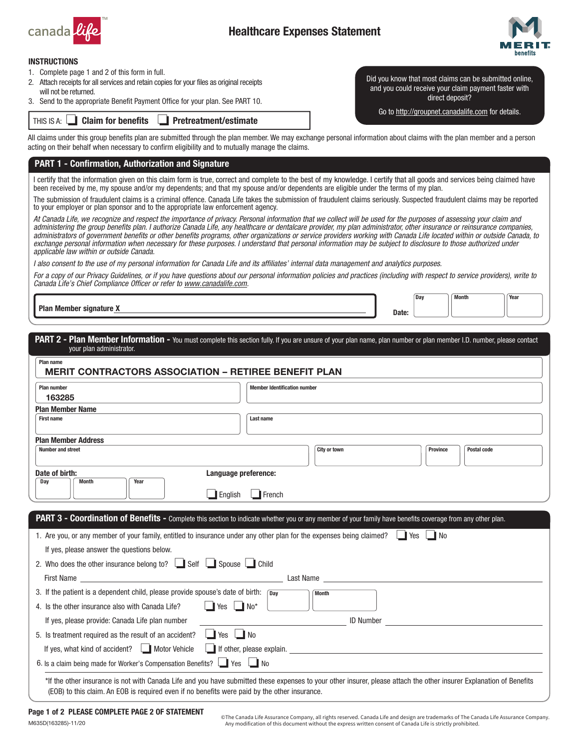

# Healthcare Expenses Statement



#### INSTRUCTIONS

- 1. Complete page 1 and 2 of this form in full.
- 2. Attach receipts for all services and retain copies for your files as original receipts will not be returned.
- 3. Send to the appropriate Benefit Payment Office for your plan. See PART 10.

THIS IS A:  $\Box$  Claim for benefits  $\Box$  Pretreatment/estimate

Did you know that most claims can be submitted online, and you could receive your claim payment faster with direct deposit?

Go to <http://groupnet.canadalife.com>for details.

All claims under this group benefits plan are submitted through the plan member. We may exchange personal information about claims with the plan member and a person acting on their behalf when necessary to confirm eligibility and to mutually manage the claims.

### PART 1 - Confirmation, Authorization and Signature

I certify that the information given on this claim form is true, correct and complete to the best of my knowledge. I certify that all goods and services being claimed have been received by me, my spouse and/or my dependents; and that my spouse and/or dependents are eligible under the terms of my plan.

The submission of fraudulent claims is a criminal offence. Canada Life takes the submission of fraudulent claims seriously. Suspected fraudulent claims may be reported to your employer or plan sponsor and to the appropriate law enforcement agency.

*At Canada Life, we recognize and respect the importance of privacy. Personal information that we collect will be used for the purposes of assessing your claim and administering the group benefits plan. I authorize Canada Life, any healthcare or dentalcare provider, my plan administrator, other insurance or reinsurance companies, administrators of government benefits or other benefits programs, other organizations or service providers working with Canada Life located within or outside Canada, to*  exchange personal information when necessary for these purposes. I understand that personal information may be subject to disclosure to those authorized under *applicable law within or outside Canada.*

*I also consent to the use of my personal information for Canada Life and its affiliates' internal data management and analytics purposes.*

*For a copy of our Privacy Guidelines, or if you have questions about our personal information policies and practices (including with respect to service providers), write to Canada Life's Chief Compliance Officer or refer to [www.canadalife.com](http://www.canadalife.com).*

Plan Member signature X and the Contract of the Contract of the Contract of the Contract of the Contract of the Contract of the Contract of the Contract of the Contract of the Contract of the Contract of the Contract of th

Day Month Year

| Plan name<br><b>MERIT CONTRACTORS ASSOCIATION - RETIREE BENEFIT PLAN</b>                                                                                                                                                                                                                                                  |                                                                                                                                                                                                                               |
|---------------------------------------------------------------------------------------------------------------------------------------------------------------------------------------------------------------------------------------------------------------------------------------------------------------------------|-------------------------------------------------------------------------------------------------------------------------------------------------------------------------------------------------------------------------------|
| <b>Plan number</b>                                                                                                                                                                                                                                                                                                        | <b>Member Identification number</b>                                                                                                                                                                                           |
| 163285<br><b>Plan Member Name</b>                                                                                                                                                                                                                                                                                         |                                                                                                                                                                                                                               |
| <b>First name</b>                                                                                                                                                                                                                                                                                                         | Last name                                                                                                                                                                                                                     |
| <b>Plan Member Address</b>                                                                                                                                                                                                                                                                                                |                                                                                                                                                                                                                               |
| <b>Number and street</b>                                                                                                                                                                                                                                                                                                  | City or town<br>Postal code<br><b>Province</b>                                                                                                                                                                                |
| Date of birth:                                                                                                                                                                                                                                                                                                            | Language preference:                                                                                                                                                                                                          |
| <b>Month</b><br>Year<br>Day                                                                                                                                                                                                                                                                                               |                                                                                                                                                                                                                               |
|                                                                                                                                                                                                                                                                                                                           |                                                                                                                                                                                                                               |
| $\blacksquare$ English                                                                                                                                                                                                                                                                                                    | $\Box$ French                                                                                                                                                                                                                 |
|                                                                                                                                                                                                                                                                                                                           |                                                                                                                                                                                                                               |
|                                                                                                                                                                                                                                                                                                                           | PART 3 - Coordination of Benefits - Complete this section to indicate whether you or any member of your family have benefits coverage from any other plan.                                                                    |
|                                                                                                                                                                                                                                                                                                                           | 1. Are you, or any member of your family, entitled to insurance under any other plan for the expenses being claimed?                                                                                                          |
| If yes, please answer the questions below.                                                                                                                                                                                                                                                                                |                                                                                                                                                                                                                               |
|                                                                                                                                                                                                                                                                                                                           |                                                                                                                                                                                                                               |
| 2. Who does the other insurance belong to? $\Box$ Self $\Box$ Spouse $\Box$ Child<br>First Name <u>superior and the second second second second second second second second second second second second second second second second second second second second second second second second second second second seco</u> | Last Name and the state of the state of the state of the state of the state of the state of the state of the state of the state of the state of the state of the state of the state of the state of the state of the state of |
|                                                                                                                                                                                                                                                                                                                           | Month                                                                                                                                                                                                                         |
| 3. If the patient is a dependent child, please provide spouse's date of birth: $\sqrt{Day}$<br>$\blacksquare$ Yes $\blacksquare$ No <sup>*</sup><br>4. Is the other insurance also with Canada Life?                                                                                                                      |                                                                                                                                                                                                                               |
| If yes, please provide: Canada Life plan number                                                                                                                                                                                                                                                                           | <b>ID Number</b>                                                                                                                                                                                                              |
|                                                                                                                                                                                                                                                                                                                           |                                                                                                                                                                                                                               |
| 5. Is treatment required as the result of an accident? <u>I</u> Yes <b>I</b> No                                                                                                                                                                                                                                           | If yes, what kind of accident? $\Box$ Motor Vehicle $\Box$ If other, please explain.                                                                                                                                          |

M635D(163285)-11/20

© The Canada Life Assurance Company, all rights reserved. Canada Life and design are trademarks of The Canada Life Assurance Company. Any modification of this document without the express written consent of Canada Life is strictly prohibited.